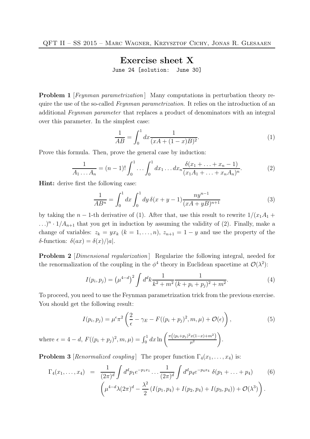## Exercise sheet X June 24 [solution: June 30]

**Problem 1** [Feynman parametrization] Many computations in perturbation theory require the use of the so-called *Feynman parametrization*. It relies on the introduction of an additional Feynman parameter that replaces a product of denominators with an integral over this parameter. In the simplest case:

$$
\frac{1}{AB} = \int_0^1 dx \frac{1}{(xA + (1-x)B)^2}.
$$
 (1)

Prove this formula. Then, prove the general case by induction:

$$
\frac{1}{A_1 \dots A_n} = (n-1)! \int_0^1 \dots \int_0^1 dx_1 \dots dx_n \frac{\delta(x_1 + \dots + x_n - 1)}{(x_1 A_1 + \dots + x_n A_n)^n}.
$$
 (2)

Hint: derive first the following case:

$$
\frac{1}{AB^n} = \int_0^1 dx \int_0^1 dy \, \delta(x+y-1) \frac{ny^{n-1}}{(xA+yB)^{n+1}} \tag{3}
$$

by taking the n – 1-th derivative of (1). After that, use this result to rewrite  $1/(x_1A_1 +$  $\ldots$ <sup>n</sup> ·  $1/A_{n+1}$  that you get in induction by assuming the validity of (2). Finally, make a change of variables:  $z_k = yx_k$   $(k = 1, ..., n)$ ,  $z_{n+1} = 1 - y$  and use the property of the δ-function:  $\delta(ax) = \delta(x)/|a|$ .

**Problem 2** [*Dimensional regularization*] Regularize the following integral, needed for the renormalization of the coupling in the  $\phi^4$  theory in Euclidean spacetime at  $\mathcal{O}(\lambda^2)$ :

$$
I(p_i, p_j) = (\mu^{4-d})^2 \int d^d k \frac{1}{k^2 + m^2} \frac{1}{(k+p_i+p_j)^2 + m^2}.
$$
 (4)

To proceed, you need to use the Feynman parametrization trick from the previous exercise. You should get the following result:

$$
I(p_i, p_j) = \mu^{\epsilon} \pi^2 \left( \frac{2}{\epsilon} - \gamma_E - F((p_i + p_j)^2, m, \mu) + \mathcal{O}(\epsilon) \right), \tag{5}
$$

.

where  $\epsilon = 4 - d$ ,  $F((p_i + p_j)^2, m, \mu) = \int_0^1 dx \ln \left( \frac{\pi ((p_i + p_j)^2 x (1 - x) + m^2)}{\mu^2} \right)$  $\mu^2$  $\setminus$ 

**Problem 3** [Renormalized coupling] The proper function  $\Gamma_4(x_1, \ldots, x_4)$  is:

$$
\Gamma_4(x_1,\ldots,x_4) = \frac{1}{(2\pi)^d} \int d^d p_1 e^{-p_1 x_1} \ldots \frac{1}{(2\pi)^d} \int d^d p_4 e^{-p_4 x_4} \, \delta(p_1 + \ldots + p_4) \tag{6}
$$
\n
$$
\left(\mu^{4-d} \lambda(2\pi)^d - \frac{\lambda^2}{2} \left(I(p_1, p_4) + I(p_2, p_4) + I(p_3, p_4)\right) + \mathcal{O}(\lambda^3)\right).
$$